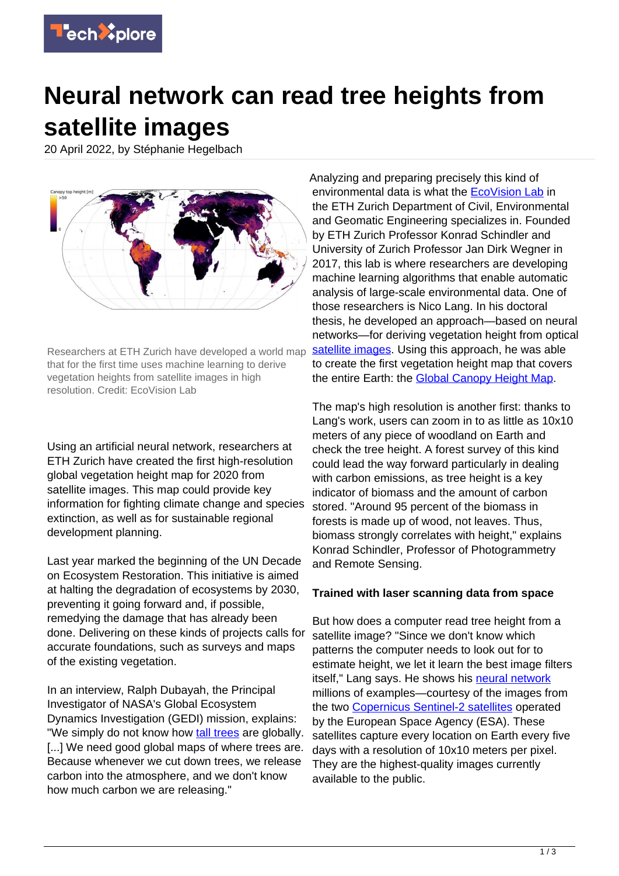

## **Neural network can read tree heights from satellite images**

20 April 2022, by Stéphanie Hegelbach



Researchers at ETH Zurich have developed a world map that for the first time uses machine learning to derive vegetation heights from satellite images in high resolution. Credit: EcoVision Lab

Using an artificial neural network, researchers at ETH Zurich have created the first high-resolution global vegetation height map for 2020 from satellite images. This map could provide key information for fighting climate change and species extinction, as well as for sustainable regional development planning.

Last year marked the beginning of the UN Decade on Ecosystem Restoration. This initiative is aimed at halting the degradation of ecosystems by 2030, preventing it going forward and, if possible, remedying the damage that has already been done. Delivering on these kinds of projects calls for accurate foundations, such as surveys and maps of the existing vegetation.

In an interview, Ralph Dubayah, the Principal Investigator of NASA's Global Ecosystem Dynamics Investigation (GEDI) mission, explains: "We simply do not know how [tall trees](https://techxplore.com/tags/tall+trees/) are globally. [...] We need good global maps of where trees are. Because whenever we cut down trees, we release carbon into the atmosphere, and we don't know how much carbon we are releasing."

Analyzing and preparing precisely this kind of environmental data is what the [EcoVision Lab](https://prs.igp.ethz.ch/ecovision.html) in the ETH Zurich Department of Civil, Environmental and Geomatic Engineering specializes in. Founded by ETH Zurich Professor Konrad Schindler and University of Zurich Professor Jan Dirk Wegner in 2017, this lab is where researchers are developing machine learning algorithms that enable automatic analysis of large-scale environmental data. One of those researchers is Nico Lang. In his doctoral thesis, he developed an approach—based on neural networks—for deriving vegetation height from optical [satellite images](https://techxplore.com/tags/satellite+images/). Using this approach, he was able to create the first vegetation height map that covers the entire Earth: the [Global Canopy Height Map](https://nlang.users.earthengine.app/view/global-canopy-height-2020).

The map's high resolution is another first: thanks to Lang's work, users can zoom in to as little as 10x10 meters of any piece of woodland on Earth and check the tree height. A forest survey of this kind could lead the way forward particularly in dealing with carbon emissions, as tree height is a key indicator of biomass and the amount of carbon stored. "Around 95 percent of the biomass in forests is made up of wood, not leaves. Thus, biomass strongly correlates with height," explains Konrad Schindler, Professor of Photogrammetry and Remote Sensing.

## **Trained with laser scanning data from space**

But how does a computer read tree height from a satellite image? "Since we don't know which patterns the computer needs to look out for to estimate height, we let it learn the best image filters itself," Lang says. He shows his [neural network](https://techxplore.com/tags/neural+network/) millions of examples—courtesy of the images from the two [Copernicus Sentinel-2 satellites](https://sentinel.esa.int/web/sentinel/missions/sentinel-2) operated by the European Space Agency (ESA). These satellites capture every location on Earth every five days with a resolution of 10x10 meters per pixel. They are the highest-quality images currently available to the public.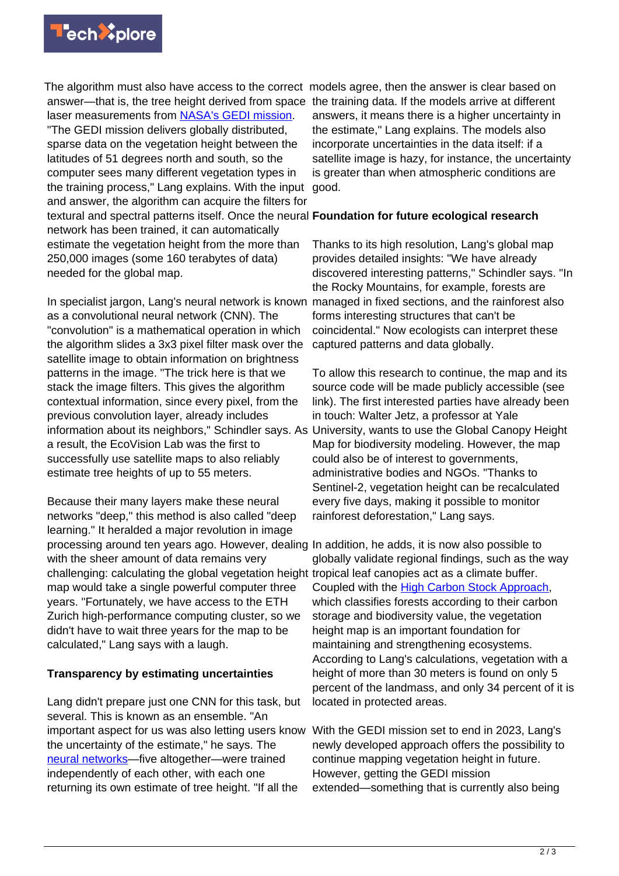

The algorithm must also have access to the correct models agree, then the answer is clear based on answer—that is, the tree height derived from space the training data. If the models arrive at different laser measurements from [NASA's GEDI mission.](https://gedi.umd.edu/) "The GEDI mission delivers globally distributed, sparse data on the vegetation height between the latitudes of 51 degrees north and south, so the computer sees many different vegetation types in the training process," Lang explains. With the input and answer, the algorithm can acquire the filters for textural and spectral patterns itself. Once the neural **Foundation for future ecological research** network has been trained, it can automatically estimate the vegetation height from the more than 250,000 images (some 160 terabytes of data) needed for the global map.

In specialist jargon, Lang's neural network is known managed in fixed sections, and the rainforest also as a convolutional neural network (CNN). The "convolution" is a mathematical operation in which the algorithm slides a 3x3 pixel filter mask over the satellite image to obtain information on brightness patterns in the image. "The trick here is that we stack the image filters. This gives the algorithm contextual information, since every pixel, from the previous convolution layer, already includes information about its neighbors," Schindler says. As University, wants to use the Global Canopy Height a result, the EcoVision Lab was the first to successfully use satellite maps to also reliably estimate tree heights of up to 55 meters.

Because their many layers make these neural networks "deep," this method is also called "deep learning." It heralded a major revolution in image processing around ten years ago. However, dealing In addition, he adds, it is now also possible to with the sheer amount of data remains very challenging: calculating the global vegetation height tropical leaf canopies act as a climate buffer. map would take a single powerful computer three years. "Fortunately, we have access to the ETH Zurich high-performance computing cluster, so we didn't have to wait three years for the map to be calculated," Lang says with a laugh.

## **Transparency by estimating uncertainties**

Lang didn't prepare just one CNN for this task, but several. This is known as an ensemble. "An important aspect for us was also letting users know With the GEDI mission set to end in 2023, Lang's the uncertainty of the estimate," he says. The [neural networks—](https://techxplore.com/tags/neural+networks/)five altogether—were trained independently of each other, with each one returning its own estimate of tree height. "If all the

answers, it means there is a higher uncertainty in the estimate," Lang explains. The models also incorporate uncertainties in the data itself: if a satellite image is hazy, for instance, the uncertainty is greater than when atmospheric conditions are good.

Thanks to its high resolution, Lang's global map provides detailed insights: "We have already discovered interesting patterns," Schindler says. "In the Rocky Mountains, for example, forests are forms interesting structures that can't be coincidental." Now ecologists can interpret these captured patterns and data globally.

To allow this research to continue, the map and its source code will be made publicly accessible (see link). The first interested parties have already been in touch: Walter Jetz, a professor at Yale Map for biodiversity modeling. However, the map could also be of interest to governments, administrative bodies and NGOs. "Thanks to Sentinel-2, vegetation height can be recalculated every five days, making it possible to monitor rainforest deforestation," Lang says.

globally validate regional findings, such as the way Coupled with the [High Carbon Stock Approach,](https://highcarbonstock.org/) which classifies forests according to their carbon storage and biodiversity value, the vegetation height map is an important foundation for maintaining and strengthening ecosystems. According to Lang's calculations, vegetation with a height of more than 30 meters is found on only 5 percent of the landmass, and only 34 percent of it is located in protected areas.

newly developed approach offers the possibility to continue mapping vegetation height in future. However, getting the GEDI mission extended—something that is currently also being